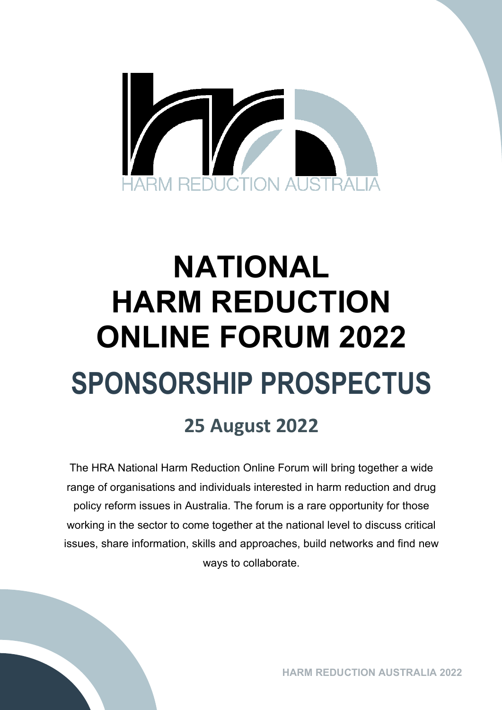

# **NATIONAL HARM REDUCTION ONLINE FORUM 2022 SPONSORSHIP PROSPECTUS**

## **25 August 2022**

The HRA National Harm Reduction Online Forum will bring together a wide range of organisations and individuals interested in harm reduction and drug policy reform issues in Australia. The forum is a rare opportunity for those working in the sector to come together at the national level to discuss critical issues, share information, skills and approaches, build networks and find new ways to collaborate.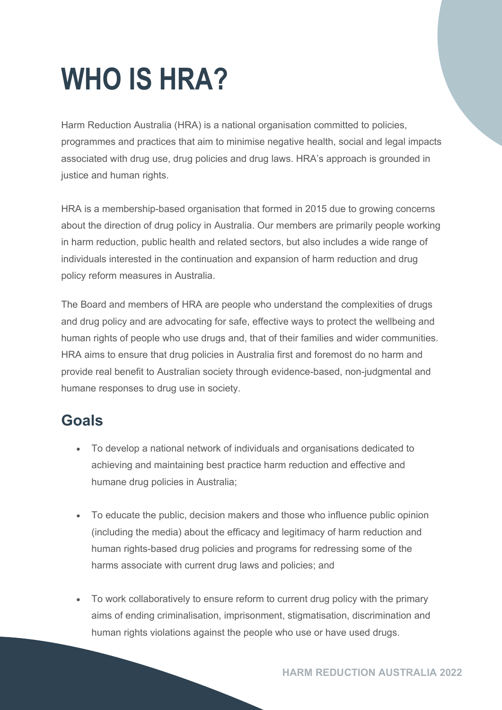## **WHO IS HRA?**

Harm Reduction Australia (HRA) is a national organisation committed to policies, programmes and practices that aim to minimise negative health, social and legal impacts associated with drug use, drug policies and drug laws. HRA's approach is grounded in justice and human rights.

HRA is a membership-based organisation that formed in 2015 due to growing concerns about the direction of drug policy in Australia. Our members are primarily people working in harm reduction, public health and related sectors, but also includes a wide range of individuals interested in the continuation and expansion of harm reduction and drug policy reform measures in Australia.

The Board and members of HRA are people who understand the complexities of drugs and drug policy and are advocating for safe, effective ways to protect the wellbeing and human rights of people who use drugs and, that of their families and wider communities. HRA aims to ensure that drug policies in Australia first and foremost do no harm and provide real benefit to Australian society through evidence-based, non-judgmental and humane responses to drug use in society.

### **Goals**

- To develop a national network of individuals and organisations dedicated to achieving and maintaining best practice harm reduction and effective and humane drug policies in Australia;
- To educate the public, decision makers and those who influence public opinion (including the media) about the efficacy and legitimacy of harm reduction and human rights-based drug policies and programs for redressing some of the harms associate with current drug laws and policies; and
- To work collaboratively to ensure reform to current drug policy with the primary aims of ending criminalisation, imprisonment, stigmatisation, discrimination and human rights violations against the people who use or have used drugs.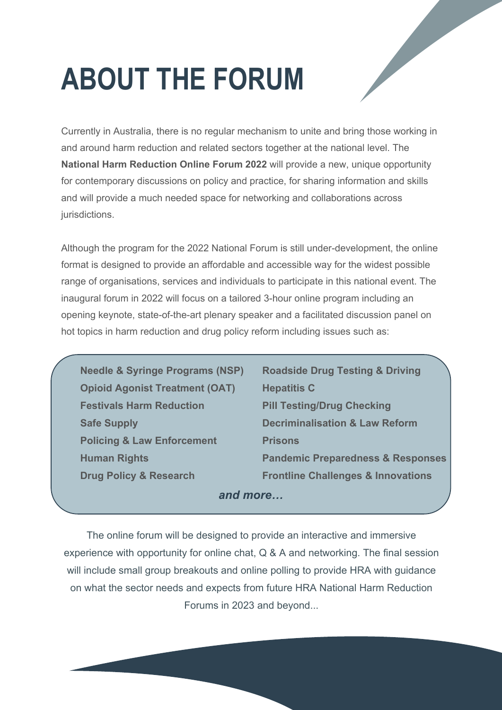## **ABOUT THE FORUM**

Currently in Australia, there is no regular mechanism to unite and bring those working in and around harm reduction and related sectors together at the national level. The **National Harm Reduction Online Forum 2022** will provide a new, unique opportunity for contemporary discussions on policy and practice, for sharing information and skills and will provide a much needed space for networking and collaborations across jurisdictions.

Although the program for the 2022 National Forum is still under-development, the online format is designed to provide an affordable and accessible way for the widest possible range of organisations, services and individuals to participate in this national event. The inaugural forum in 2022 will focus on a tailored 3-hour online program including an opening keynote, state-of-the-art plenary speaker and a facilitated discussion panel on hot topics in harm reduction and drug policy reform including issues such as:

**Needle & Syringe Programs (NSP) Roadside Drug Testing & Driving Opioid Agonist Treatment (OAT) Hepatitis C Festivals Harm Reduction Pill Testing/Drug Checking Policing & Law Enforcement Prisons** 

*and more…* **Safe Supply Decriminalisation & Law Reform Human Rights Pandemic Preparedness & Responses Drug Policy & Research Frontline Challenges & Innovations**

The online forum will be designed to provide an interactive and immersive experience with opportunity for online chat, Q & A and networking. The final session will include small group breakouts and online polling to provide HRA with guidance on what the sector needs and expects from future HRA National Harm Reduction Forums in 2023 and beyond...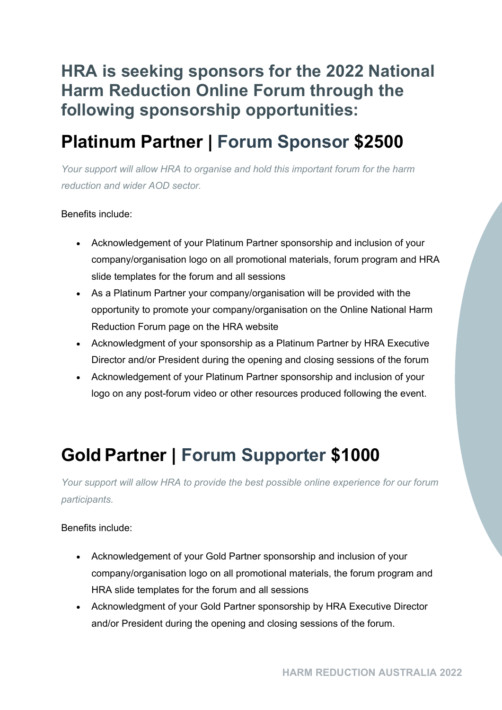### **HRA is seeking sponsors for the 2022 National Harm Reduction Online Forum through the following sponsorship opportunities:**

## **Platinum Partner | Forum Sponsor \$2500**

*Your support will allow HRA to organise and hold this important forum for the harm reduction and wider AOD sector.*

#### Benefits include:

- Acknowledgement of your Platinum Partner sponsorship and inclusion of your company/organisation logo on all promotional materials, forum program and HRA slide templates for the forum and all sessions
- As a Platinum Partner your company/organisation will be provided with the opportunity to promote your company/organisation on the Online National Harm Reduction Forum page on the HRA website
- Acknowledgment of your sponsorship as a Platinum Partner by HRA Executive Director and/or President during the opening and closing sessions of the forum
- Acknowledgement of your Platinum Partner sponsorship and inclusion of your logo on any post-forum video or other resources produced following the event.

## **Gold Partner | Forum Supporter \$1000**

*Your support will allow HRA to provide the best possible online experience for our forum participants.*

#### Benefits include:

- Acknowledgement of your Gold Partner sponsorship and inclusion of your company/organisation logo on all promotional materials, the forum program and HRA slide templates for the forum and all sessions
- Acknowledgment of your Gold Partner sponsorship by HRA Executive Director and/or President during the opening and closing sessions of the forum.